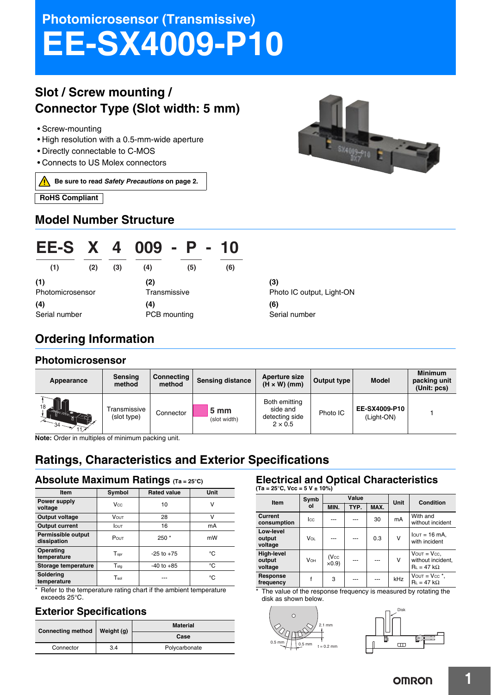# **Photomicrosensor (Transmissive) EE-SX4009-P10**

# **Slot / Screw mounting / Connector Type (Slot width: 5 mm)**

- Screw-mounting
- High resolution with a 0.5-mm-wide aperture
- Directly connectable to C-MOS
- Connects to US Molex connectors

⚠ **Be sure to read** *Safety Precautions* **on page 2.**

**RoHS Compliant** 

### **Model Number Structure**



# **EE-S X 4 009 - P - 10 (1) (2) (3) (4) (5) (6)**

**(1)** Photomicrosensor **(4)** Serial number

**(2) Transmissive (4)** PCB mounting

#### **(3)** Photo IC output, Light-ON **(6)** Serial number

### **Ordering Information**

#### **Photomicrosensor**

| Appearance           | Sensing<br>method           | Connecting<br>method | <b>Sensing distance</b>         | Aperture size<br>$(H \times W)$ (mm)                          | Output type | <b>Model</b>                | <b>Minimum</b><br>packing unit<br>(Unit: pcs) |
|----------------------|-----------------------------|----------------------|---------------------------------|---------------------------------------------------------------|-------------|-----------------------------|-----------------------------------------------|
| 18<br>$\frac{1}{34}$ | Transmissive<br>(slot type) | Connector            | 5 <sub>mm</sub><br>(slot width) | Both emitting<br>side and<br>detecting side<br>$2 \times 0.5$ | Photo IC    | EE-SX4009-P10<br>(Light-ON) |                                               |

**Note:** Order in multiples of minimum packing unit.

# **Ratings, Characteristics and Exterior Specifications**

#### **Absolute Maximum Ratings (Ta = 25°C)**

| <b>Item</b>                       | Symbol           | <b>Rated value</b> | Unit |
|-----------------------------------|------------------|--------------------|------|
| Power supply<br>voltage           | Vcc              | 10                 | ٧    |
| Output voltage                    | <b>VOUT</b>      | 28                 | ν    |
| <b>Output current</b>             | <b>I</b> OUT     | 16                 | mA   |
| Permissible output<br>dissipation | POUT             | $250*$             | mW   |
| Operating<br>temperature          | $T_{\rm opr}$    | $-25$ to $+75$     | °C   |
| Storage temperature               | $T_{\text{stg}}$ | $-40$ to $+85$     | °C   |
| Soldering<br>temperature          | $T_{sol}$        |                    | °C   |

\* Refer to the temperature rating chart if the ambient temperature exceeds 25°C.

### **Exterior Specifications**

| <b>Connecting method</b> | Weight (g) | <b>Material</b> |  |
|--------------------------|------------|-----------------|--|
|                          |            | Case            |  |
| Connector                | 3.4        | Polycarbonate   |  |

### **Electrical and Optical Characteristics**

**(Ta = 25°C, Vcc = 5 V ± 10%)**

| Item                            | Value<br>Symb |                                     |      |      | Unit       | <b>Condition</b>                                             |  |
|---------------------------------|---------------|-------------------------------------|------|------|------------|--------------------------------------------------------------|--|
|                                 | ol            | MIN.                                | TYP. | MAX. |            |                                                              |  |
| Current<br>consumption          | <b>I</b> cc   |                                     |      | 30   | mA         | With and<br>without incident                                 |  |
| Low-level<br>output<br>voltage  | Vol           |                                     |      | 0.3  | ν          | $I$ out = 16 mA,<br>with incident                            |  |
| High-level<br>output<br>voltage | <b>V</b> он   | (V <sub>CC</sub> )<br>$\times$ 0.9) |      |      | v          | $V$ OUT = $V$ cc,<br>without incident,<br>$R_L = 47 k\Omega$ |  |
| Response<br>frequency           | f             | 3                                   |      |      | <b>kHz</b> | $V$ OUT = $V$ cc $*$ ,<br>$R_L = 47 k\Omega$                 |  |

\* The value of the response frequency is measured by rotating the disk as shown below.



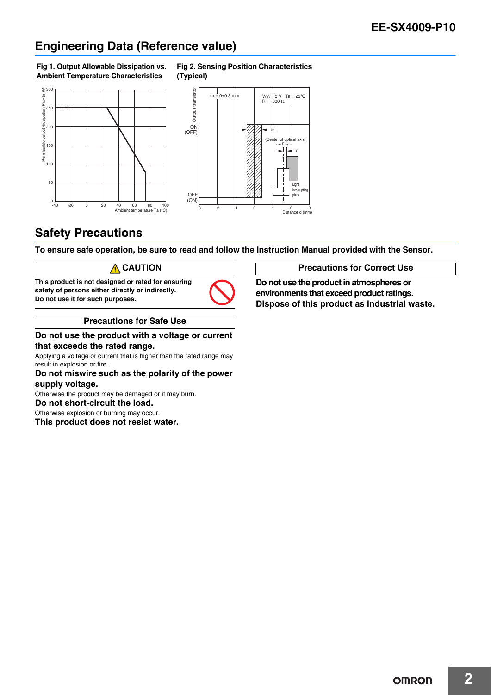# **Engineering Data (Reference value)**

#### **Fig 1. Output Allowable Dissipation vs. Ambient Temperature Characteristics**





**Fig 2. Sensing Position Characteristics** 

### **Safety Precautions**

**To ensure safe operation, be sure to read and follow the Instruction Manual provided with the Sensor.**

#### **CAUTION**

**This product is not designed or rated for ensuring safety of persons either directly or indirectly. Do not use it for such purposes.**



#### **Precautions for Safe Use**

#### **Do not use the product with a voltage or current that exceeds the rated range.**

Applying a voltage or current that is higher than the rated range may result in explosion or fire.

#### **Do not miswire such as the polarity of the power supply voltage.**

Otherwise the product may be damaged or it may burn.

**Do not short-circuit the load.** Otherwise explosion or burning may occur.

**This product does not resist water.**

#### **Precautions for Correct Use**

**Do not use the product in atmospheres or environments that exceed product ratings. Dispose of this product as industrial waste.**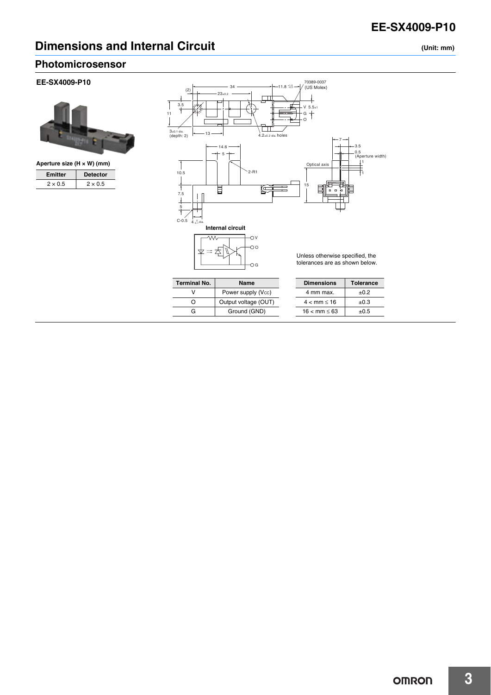## **Dimensions and Internal Circuit (Unit: mm)**

**Photomicrosensor**

#### **EE-SX4009-P10**



| Aperture size $(H \times W)$ (mm) |                 |  |  |
|-----------------------------------|-----------------|--|--|
| <b>Emitter</b>                    | <b>Detector</b> |  |  |
| $2 \times 0.5$                    | $2 \times 0.5$  |  |  |



| <b>Terminal No.</b> | Name                 |
|---------------------|----------------------|
|                     | Power supply (Vcc)   |
|                     | Output voltage (OUT) |
| G                   | Ground (GND)         |

| <b>Dimensions</b> | <b>Tolerance</b> |
|-------------------|------------------|
| 4 mm max.         | $+0.2$           |
| 4 < mm < 16       | $+0.3$           |
| 16 < mm < 63      | $+0.5$           |



**3**